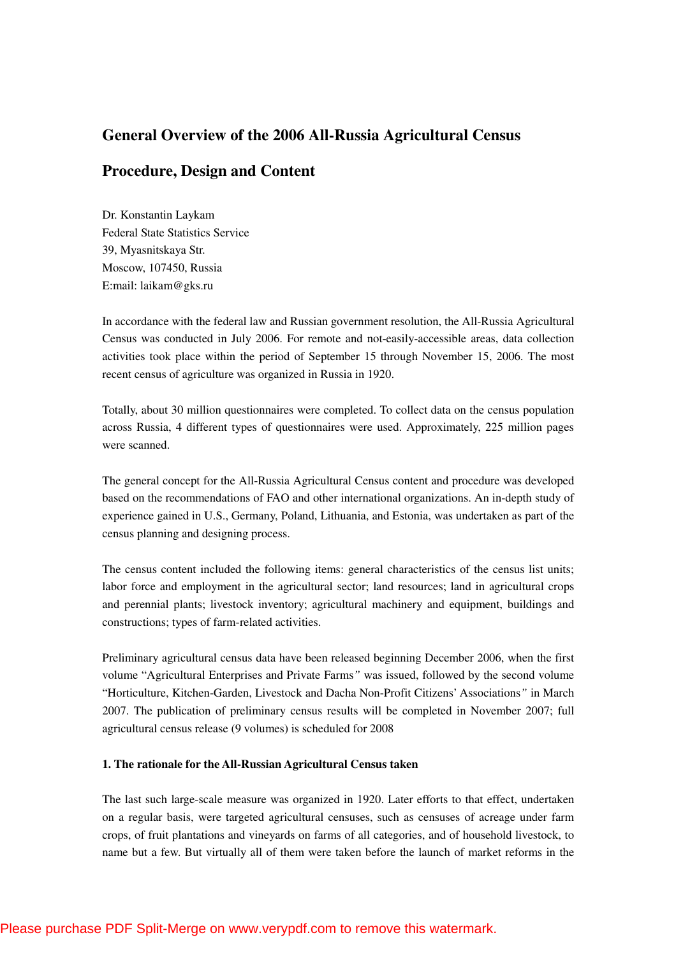# **General Overview of the 2006 All-Russia Agricultural Census**

# **Procedure, Design and Content**

Dr. Konstantin Laykam Federal State Statistics Service 39, Myasnitskaya Str. Moscow, 107450, Russia E:mail: laikam@gks.ru

In accordance with the federal law and Russian government resolution, the All-Russia Agricultural Census was conducted in July 2006. For remote and not-easily-accessible areas, data collection activities took place within the period of September 15 through November 15, 2006. The most recent census of agriculture was organized in Russia in 1920.

Totally, about 30 million questionnaires were completed. To collect data on the census population across Russia, 4 different types of questionnaires were used. Approximately, 225 million pages were scanned.

The general concept for the All-Russia Agricultural Census content and procedure was developed based on the recommendations of FAO and other international organizations. An in-depth study of experience gained in U.S., Germany, Poland, Lithuania, and Estonia, was undertaken as part of the census planning and designing process.

The census content included the following items: general characteristics of the census list units; labor force and employment in the agricultural sector; land resources; land in agricultural crops and perennial plants; livestock inventory; agricultural machinery and equipment, buildings and constructions; types of farm-related activities.

Preliminary agricultural census data have been released beginning December 2006, when the first volume "Agricultural Enterprises and Private Farms*"* was issued, followed by the second volume "Horticulture, Kitchen-Garden, Livestock and Dacha Non-Profit Citizens' Associations*"* in March 2007. The publication of preliminary census results will be completed in November 2007; full agricultural census release (9 volumes) is scheduled for 2008

### **1. The rationale for the All-Russian Agricultural Census taken**

The last such large-scale measure was organized in 1920. Later efforts to that effect, undertaken on a regular basis, were targeted agricultural censuses, such as censuses of acreage under farm crops, of fruit plantations and vineyards on farms of all categories, and of household livestock, to name but a few. But virtually all of them were taken before the launch of market reforms in the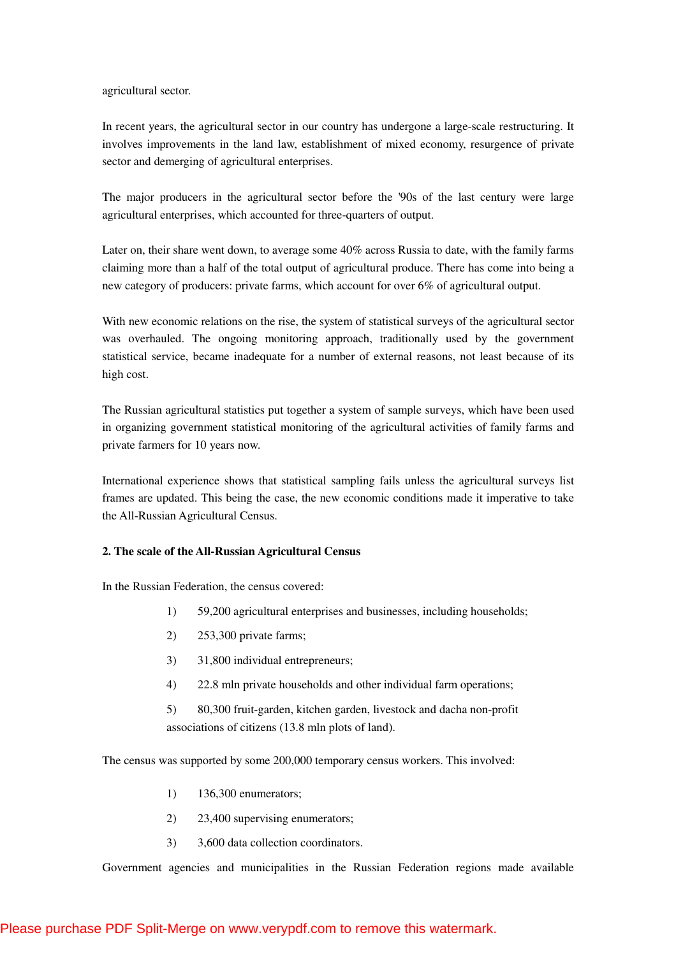agricultural sector.

In recent years, the agricultural sector in our country has undergone a large-scale restructuring. It involves improvements in the land law, establishment of mixed economy, resurgence of private sector and demerging of agricultural enterprises.

The major producers in the agricultural sector before the '90s of the last century were large agricultural enterprises, which accounted for three-quarters of output.

Later on, their share went down, to average some 40% across Russia to date, with the family farms claiming more than a half of the total output of agricultural produce. There has come into being a new category of producers: private farms, which account for over 6% of agricultural output.

With new economic relations on the rise, the system of statistical surveys of the agricultural sector was overhauled. The ongoing monitoring approach, traditionally used by the government statistical service, became inadequate for a number of external reasons, not least because of its high cost.

The Russian agricultural statistics put together a system of sample surveys, which have been used in organizing government statistical monitoring of the agricultural activities of family farms and private farmers for 10 years now.

International experience shows that statistical sampling fails unless the agricultural surveys list frames are updated. This being the case, the new economic conditions made it imperative to take the All-Russian Agricultural Census.

## **2. The scale of the All-Russian Agricultural Census**

In the Russian Federation, the census covered:

- 1) 59,200 agricultural enterprises and businesses, including households;
- 2) 253,300 private farms;
- 3) 31,800 individual entrepreneurs;
- 4) 22.8 mln private households and other individual farm operations;
- 5) 80,300 fruit-garden, kitchen garden, livestock and dacha non-profit associations of citizens (13.8 mln plots of land).

The census was supported by some 200,000 temporary census workers. This involved:

- 1) 136,300 enumerators;
- 2) 23,400 supervising enumerators;
- 3) 3,600 data collection coordinators.

Government agencies and municipalities in the Russian Federation regions made available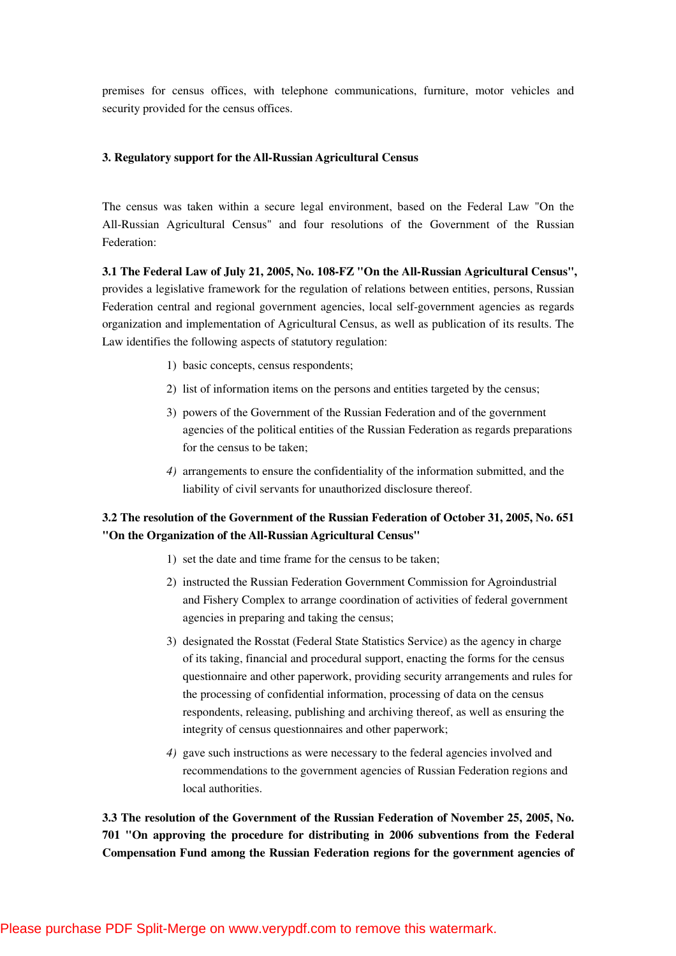premises for census offices, with telephone communications, furniture, motor vehicles and security provided for the census offices.

## **3. Regulatory support for the All-Russian Agricultural Census**

The census was taken within a secure legal environment, based on the Federal Law "On the All-Russian Agricultural Census" and four resolutions of the Government of the Russian Federation:

**3.1 The Federal Law of July 21, 2005, No. 108-FZ "On the All-Russian Agricultural Census",**  provides a legislative framework for the regulation of relations between entities, persons, Russian Federation central and regional government agencies, local self-government agencies as regards organization and implementation of Agricultural Census, as well as publication of its results. The Law identifies the following aspects of statutory regulation:

- 1) basic concepts, census respondents;
- 2) list of information items on the persons and entities targeted by the census;
- 3) powers of the Government of the Russian Federation and of the government agencies of the political entities of the Russian Federation as regards preparations for the census to be taken;
- *4)* arrangements to ensure the confidentiality of the information submitted, and the liability of civil servants for unauthorized disclosure thereof.

## **3.2 The resolution of the Government of the Russian Federation of October 31, 2005, No. 651 "On the Organization of the All-Russian Agricultural Census"**

- 1) set the date and time frame for the census to be taken;
- 2) instructed the Russian Federation Government Commission for Agroindustrial and Fishery Complex to arrange coordination of activities of federal government agencies in preparing and taking the census;
- 3) designated the Rosstat (Federal State Statistics Service) as the agency in charge of its taking, financial and procedural support, enacting the forms for the census questionnaire and other paperwork, providing security arrangements and rules for the processing of confidential information, processing of data on the census respondents, releasing, publishing and archiving thereof, as well as ensuring the integrity of census questionnaires and other paperwork;
- *4)* gave such instructions as were necessary to the federal agencies involved and recommendations to the government agencies of Russian Federation regions and local authorities.

**3.3 The resolution of the Government of the Russian Federation of November 25, 2005, No. 701 "On approving the procedure for distributing in 2006 subventions from the Federal Compensation Fund among the Russian Federation regions for the government agencies of**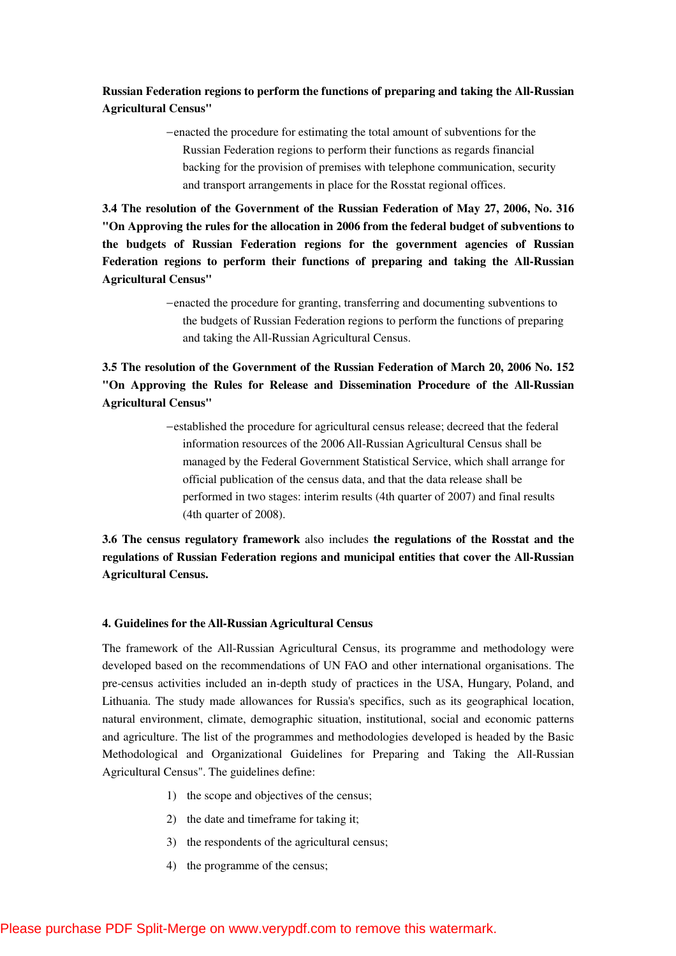**Russian Federation regions to perform the functions of preparing and taking the All-Russian Agricultural Census"** 

> −enacted the procedure for estimating the total amount of subventions for the Russian Federation regions to perform their functions as regards financial backing for the provision of premises with telephone communication, security and transport arrangements in place for the Rosstat regional offices.

**3.4 The resolution of the Government of the Russian Federation of May 27, 2006, No. 316 "On Approving the rules for the allocation in 2006 from the federal budget of subventions to the budgets of Russian Federation regions for the government agencies of Russian Federation regions to perform their functions of preparing and taking the All-Russian Agricultural Census"** 

> −enacted the procedure for granting, transferring and documenting subventions to the budgets of Russian Federation regions to perform the functions of preparing and taking the All-Russian Agricultural Census.

**3.5 The resolution of the Government of the Russian Federation of March 20, 2006 No. 152 "On Approving the Rules for Release and Dissemination Procedure of the All-Russian Agricultural Census"** 

> −established the procedure for agricultural census release; decreed that the federal information resources of the 2006 All-Russian Agricultural Census shall be managed by the Federal Government Statistical Service, which shall arrange for official publication of the census data, and that the data release shall be performed in two stages: interim results (4th quarter of 2007) and final results (4th quarter of 2008).

**3.6 The census regulatory framework** also includes **the regulations of the Rosstat and the regulations of Russian Federation regions and municipal entities that cover the All-Russian Agricultural Census.** 

#### **4. Guidelines for the All-Russian Agricultural Census**

The framework of the All-Russian Agricultural Census, its programme and methodology were developed based on the recommendations of UN FAO and other international organisations. The pre-census activities included an in-depth study of practices in the USA, Hungary, Poland, and Lithuania. The study made allowances for Russia's specifics, such as its geographical location, natural environment, climate, demographic situation, institutional, social and economic patterns and agriculture. The list of the programmes and methodologies developed is headed by the Basic Methodological and Organizational Guidelines for Preparing and Taking the All-Russian Agricultural Census". The guidelines define:

- 1) the scope and objectives of the census;
- 2) the date and timeframe for taking it;
- 3) the respondents of the agricultural census;
- 4) the programme of the census;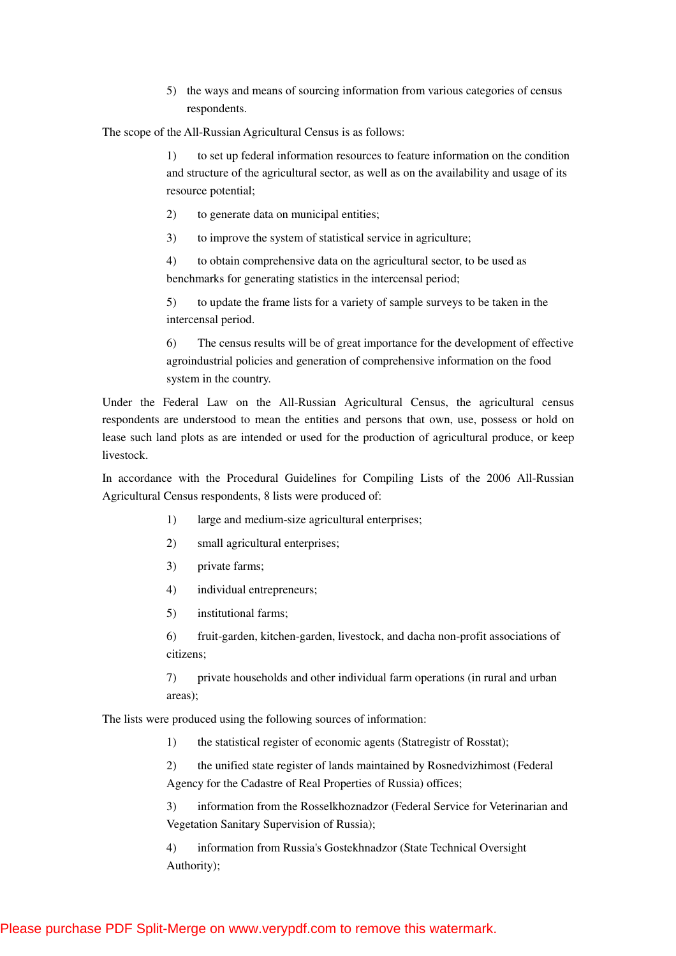5) the ways and means of sourcing information from various categories of census respondents.

The scope of the All-Russian Agricultural Census is as follows:

1) to set up federal information resources to feature information on the condition and structure of the agricultural sector, as well as on the availability and usage of its resource potential;

2) to generate data on municipal entities;

3) to improve the system of statistical service in agriculture;

4) to obtain comprehensive data on the agricultural sector, to be used as benchmarks for generating statistics in the intercensal period;

5) to update the frame lists for a variety of sample surveys to be taken in the intercensal period.

6) The census results will be of great importance for the development of effective agroindustrial policies and generation of comprehensive information on the food system in the country.

Under the Federal Law on the All-Russian Agricultural Census, the agricultural census respondents are understood to mean the entities and persons that own, use, possess or hold on lease such land plots as are intended or used for the production of agricultural produce, or keep livestock.

In accordance with the Procedural Guidelines for Compiling Lists of the 2006 All-Russian Agricultural Census respondents, 8 lists were produced of:

- 1) large and medium-size agricultural enterprises;
- 2) small agricultural enterprises;
- 3) private farms;
- 4) individual entrepreneurs;
- 5) institutional farms;

6) fruit-garden, kitchen-garden, livestock, and dacha non-profit associations of citizens;

7) private households and other individual farm operations (in rural and urban areas);

The lists were produced using the following sources of information:

1) the statistical register of economic agents (Statregistr of Rosstat);

2) the unified state register of lands maintained by Rosnedvizhimost (Federal Agency for the Cadastre of Real Properties of Russia) offices;

3) information from the Rosselkhoznadzor (Federal Service for Veterinarian and Vegetation Sanitary Supervision of Russia);

4) information from Russia's Gostekhnadzor (State Technical Oversight Authority);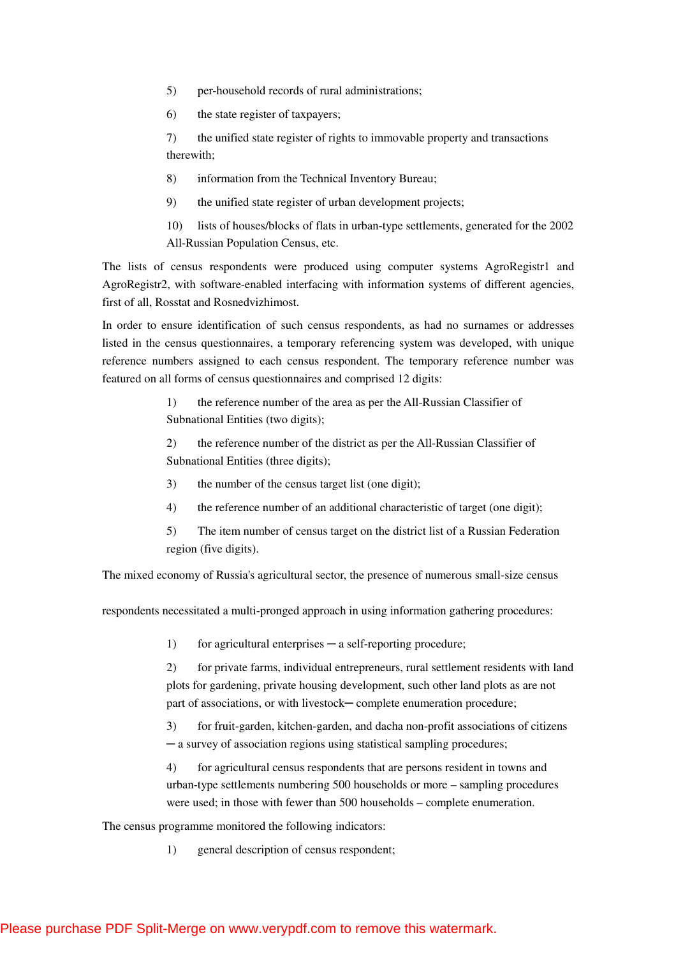- 5) per-household records of rural administrations;
- 6) the state register of taxpayers;

7) the unified state register of rights to immovable property and transactions therewith;

- 8) information from the Technical Inventory Bureau;
- 9) the unified state register of urban development projects;
- 10) lists of houses/blocks of flats in urban-type settlements, generated for the 2002 All-Russian Population Census, etc.

The lists of census respondents were produced using computer systems AgroRegistr1 and AgroRegistr2, with software-enabled interfacing with information systems of different agencies, first of all, Rosstat and Rosnedvizhimost.

In order to ensure identification of such census respondents, as had no surnames or addresses listed in the census questionnaires, a temporary referencing system was developed, with unique reference numbers assigned to each census respondent. The temporary reference number was featured on all forms of census questionnaires and comprised 12 digits:

> 1) the reference number of the area as per the All-Russian Classifier of Subnational Entities (two digits);

2) the reference number of the district as per the All-Russian Classifier of Subnational Entities (three digits);

- 3) the number of the census target list (one digit);
- 4) the reference number of an additional characteristic of target (one digit);
- 5) The item number of census target on the district list of a Russian Federation region (five digits).

The mixed economy of Russia's agricultural sector, the presence of numerous small-size census

respondents necessitated a multi-pronged approach in using information gathering procedures:

1) for agricultural enterprises — a self-reporting procedure;

2) for private farms, individual entrepreneurs, rural settlement residents with land plots for gardening, private housing development, such other land plots as are not part of associations, or with livestock—complete enumeration procedure;

3) for fruit-garden, kitchen-garden, and dacha non-profit associations of citizens ─ a survey of association regions using statistical sampling procedures;

4) for agricultural census respondents that are persons resident in towns and urban-type settlements numbering 500 households or more – sampling procedures were used; in those with fewer than 500 households – complete enumeration.

The census programme monitored the following indicators:

1) general description of census respondent;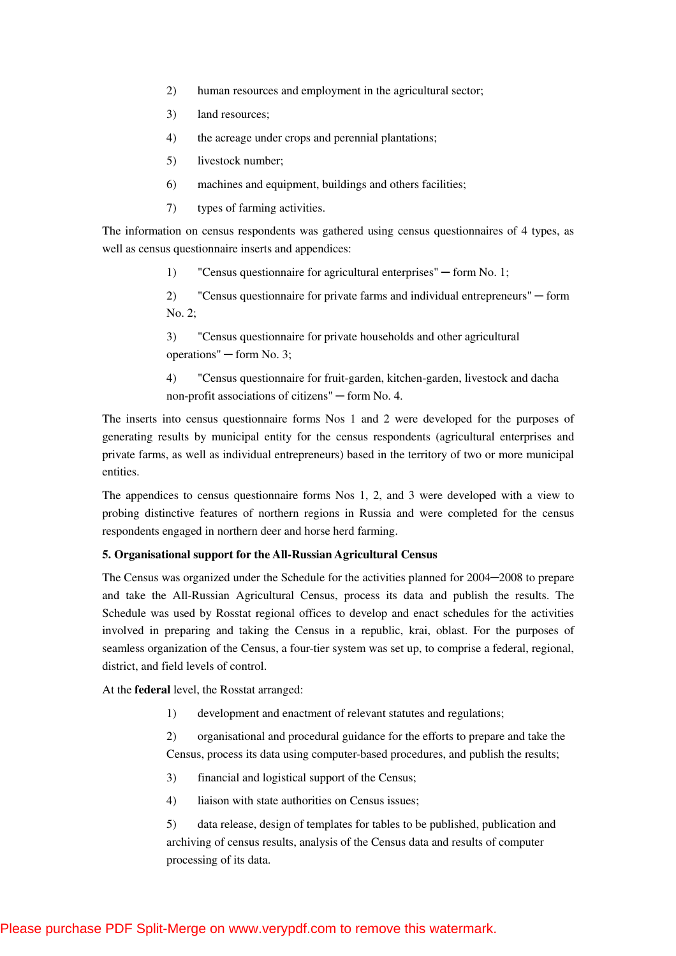- 2) human resources and employment in the agricultural sector;
- 3) land resources;
- 4) the acreage under crops and perennial plantations;
- 5) livestock number;
- 6) machines and equipment, buildings and others facilities;
- 7) types of farming activities.

The information on census respondents was gathered using census questionnaires of 4 types, as well as census questionnaire inserts and appendices:

1) "Census questionnaire for agricultural enterprises" — form No. 1;

2) "Census questionnaire for private farms and individual entrepreneurs" ─ form No. 2;

3) "Census questionnaire for private households and other agricultural operations" ─ form No. 3;

4) "Census questionnaire for fruit-garden, kitchen-garden, livestock and dacha non-profit associations of citizens" ─ form No. 4.

The inserts into census questionnaire forms Nos 1 and 2 were developed for the purposes of generating results by municipal entity for the census respondents (agricultural enterprises and private farms, as well as individual entrepreneurs) based in the territory of two or more municipal entities.

The appendices to census questionnaire forms Nos 1, 2, and 3 were developed with a view to probing distinctive features of northern regions in Russia and were completed for the census respondents engaged in northern deer and horse herd farming.

### **5. Organisational support for the All-Russian Agricultural Census**

The Census was organized under the Schedule for the activities planned for  $2004-2008$  to prepare and take the All-Russian Agricultural Census, process its data and publish the results. The Schedule was used by Rosstat regional offices to develop and enact schedules for the activities involved in preparing and taking the Census in a republic, krai, oblast. For the purposes of seamless organization of the Census, a four-tier system was set up, to comprise a federal, regional, district, and field levels of control.

At the **federal** level, the Rosstat arranged:

1) development and enactment of relevant statutes and regulations;

2) organisational and procedural guidance for the efforts to prepare and take the Census, process its data using computer-based procedures, and publish the results;

- 3) financial and logistical support of the Census;
- 4) liaison with state authorities on Census issues;

5) data release, design of templates for tables to be published, publication and archiving of census results, analysis of the Census data and results of computer processing of its data.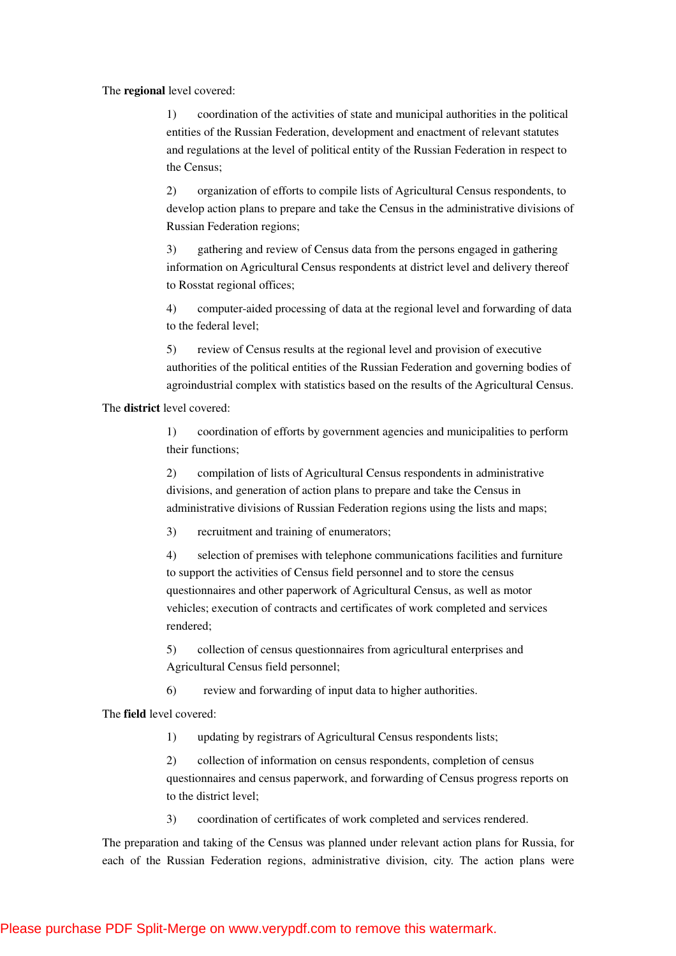### The **regional** level covered:

1) coordination of the activities of state and municipal authorities in the political entities of the Russian Federation, development and enactment of relevant statutes and regulations at the level of political entity of the Russian Federation in respect to the Census;

2) organization of efforts to compile lists of Agricultural Census respondents, to develop action plans to prepare and take the Census in the administrative divisions of Russian Federation regions;

3) gathering and review of Census data from the persons engaged in gathering information on Agricultural Census respondents at district level and delivery thereof to Rosstat regional offices;

4) computer-aided processing of data at the regional level and forwarding of data to the federal level;

5) review of Census results at the regional level and provision of executive authorities of the political entities of the Russian Federation and governing bodies of agroindustrial complex with statistics based on the results of the Agricultural Census.

The **district** level covered:

1) coordination of efforts by government agencies and municipalities to perform their functions;

2) compilation of lists of Agricultural Census respondents in administrative divisions, and generation of action plans to prepare and take the Census in administrative divisions of Russian Federation regions using the lists and maps;

3) recruitment and training of enumerators;

4) selection of premises with telephone communications facilities and furniture to support the activities of Census field personnel and to store the census questionnaires and other paperwork of Agricultural Census, as well as motor vehicles; execution of contracts and certificates of work completed and services rendered;

5) collection of census questionnaires from agricultural enterprises and Agricultural Census field personnel;

6) review and forwarding of input data to higher authorities.

The **field** level covered:

1) updating by registrars of Agricultural Census respondents lists;

2) collection of information on census respondents, completion of census questionnaires and census paperwork, and forwarding of Census progress reports on to the district level;

3) coordination of certificates of work completed and services rendered.

The preparation and taking of the Census was planned under relevant action plans for Russia, for each of the Russian Federation regions, administrative division, city. The action plans were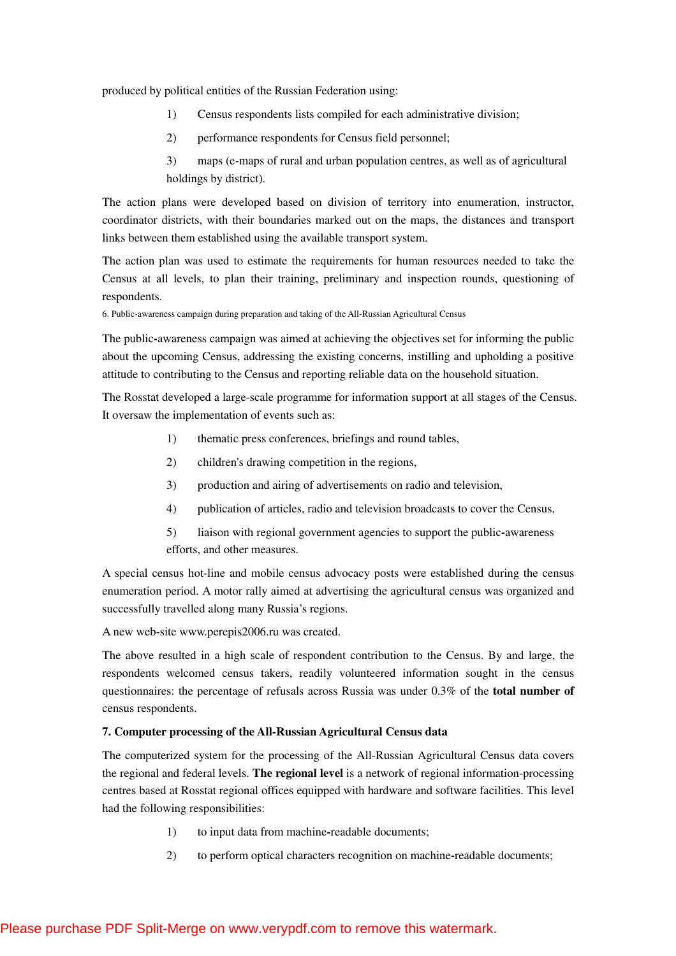produced by political entities of the Russian Federation using:

- 1) Census respondents lists compiled for each administrative division;
- 2) performance respondents for Census field personnel;
- 3) maps (e-maps of rural and urban population centres, as well as of agricultural holdings by district).

The action plans were developed based on division of territory into enumeration, instructor, coordinator districts, with their boundaries marked out on the maps, the distances and transport links between them established using the available transport system.

The action plan was used to estimate the requirements for human resources needed to take the Census at all levels, to plan their training, preliminary and inspection rounds, questioning of respondents.

6. Public-awareness campaign during preparation and taking of the All-Russian Agricultural Census

The public**-**awareness campaign was aimed at achieving the objectives set for informing the public about the upcoming Census, addressing the existing concerns, instilling and upholding a positive attitude to contributing to the Census and reporting reliable data on the household situation.

The Rosstat developed a large-scale programme for information support at all stages of the Census. It oversaw the implementation of events such as:

- 1) thematic press conferences, briefings and round tables,
- 2) children's drawing competition in the regions,
- 3) production and airing of advertisements on radio and television,
- 4) publication of articles, radio and television broadcasts to cover the Census,
- 5) liaison with regional government agencies to support the public**-**awareness efforts, and other measures.

A special census hot-line and mobile census advocacy posts were established during the census enumeration period. A motor rally aimed at advertising the agricultural census was organized and successfully travelled along many Russia's regions.

A new web-site www.perepis2006.ru was created.

The above resulted in a high scale of respondent contribution to the Census. By and large, the respondents welcomed census takers, readily volunteered information sought in the census questionnaires: the percentage of refusals across Russia was under 0.3% of the **total number of** census respondents.

## **7. Computer processing of the All-Russian Agricultural Census data**

The computerized system for the processing of the All-Russian Agricultural Census data covers the regional and federal levels. **The regional level** is a network of regional information-processing centres based at Rosstat regional offices equipped with hardware and software facilities. This level had the following responsibilities:

- 1) to input data from machine**-**readable documents;
- 2) to perform optical characters recognition on machine**-**readable documents;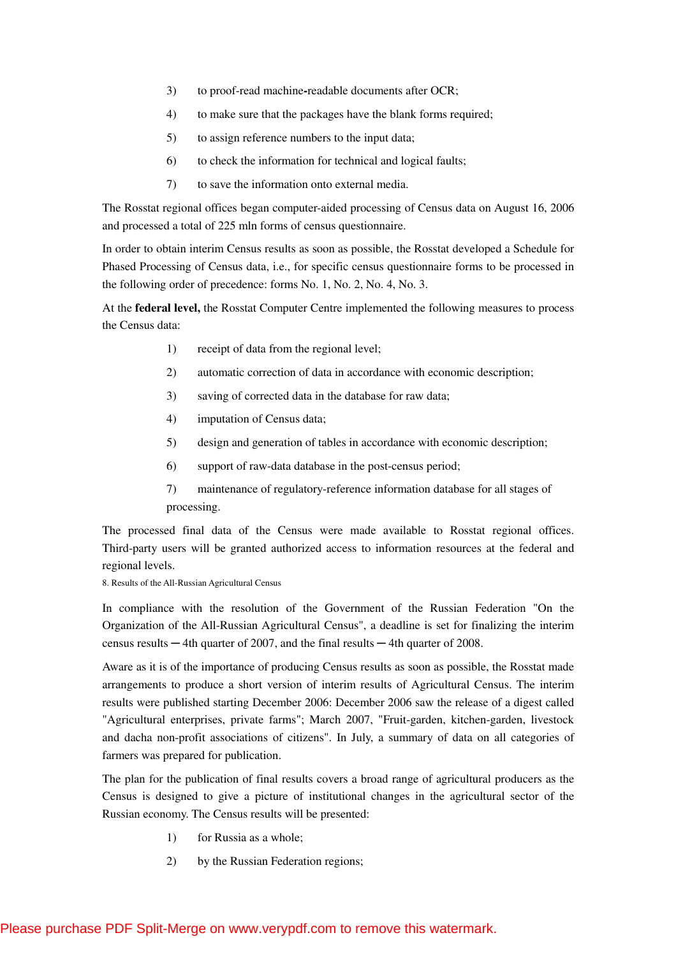- 3) to proof-read machine**-**readable documents after OCR;
- 4) to make sure that the packages have the blank forms required;
- 5) to assign reference numbers to the input data;
- 6) to check the information for technical and logical faults;
- 7) to save the information onto external media.

The Rosstat regional offices began computer-aided processing of Census data on August 16, 2006 and processed a total of 225 mln forms of census questionnaire.

In order to obtain interim Census results as soon as possible, the Rosstat developed a Schedule for Phased Processing of Census data, i.e., for specific census questionnaire forms to be processed in the following order of precedence: forms No. 1, No. 2, No. 4, No. 3.

At the **federal level,** the Rosstat Computer Centre implemented the following measures to process the Census data:

- 1) receipt of data from the regional level;
- 2) automatic correction of data in accordance with economic description;
- 3) saving of corrected data in the database for raw data;
- 4) imputation of Census data;
- 5) design and generation of tables in accordance with economic description;
- 6) support of raw-data database in the post-census period;
- 7) maintenance of regulatory-reference information database for all stages of processing.

The processed final data of the Census were made available to Rosstat regional offices. Third-party users will be granted authorized access to information resources at the federal and regional levels.

8. Results of the All-Russian Agricultural Census

In compliance with the resolution of the Government of the Russian Federation "On the Organization of the All-Russian Agricultural Census", a deadline is set for finalizing the interim census results  $-4$ th quarter of 2007, and the final results  $-4$ th quarter of 2008.

Aware as it is of the importance of producing Census results as soon as possible, the Rosstat made arrangements to produce a short version of interim results of Agricultural Census. The interim results were published starting December 2006: December 2006 saw the release of a digest called "Agricultural enterprises, private farms"; March 2007, "Fruit-garden, kitchen-garden, livestock and dacha non-profit associations of citizens". In July, a summary of data on all categories of farmers was prepared for publication.

The plan for the publication of final results covers a broad range of agricultural producers as the Census is designed to give a picture of institutional changes in the agricultural sector of the Russian economy. The Census results will be presented:

- 1) for Russia as a whole;
- 2) by the Russian Federation regions;